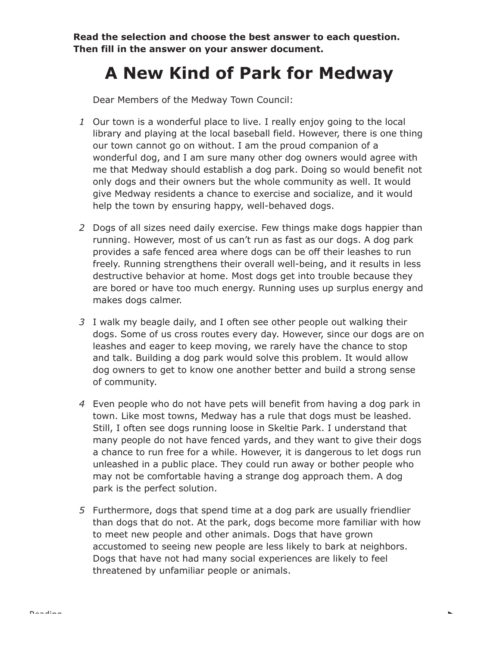**Read the selection and choose the best answer to each question. Then fill in the answer on your answer document.**

## **A New Kind of Park for Medway**

Dear Members of the Medway Town Council:

- *1* Our town is a wonderful place to live. I really enjoy going to the local library and playing at the local baseball field. However, there is one thing our town cannot go on without. I am the proud companion of a wonderful dog, and I am sure many other dog owners would agree with me that Medway should establish a dog park. Doing so would benefit not only dogs and their owners but the whole community as well. It would give Medway residents a chance to exercise and socialize, and it would help the town by ensuring happy, well-behaved dogs.
- *2* Dogs of all sizes need daily exercise. Few things make dogs happier than running. However, most of us can't run as fast as our dogs. A dog park provides a safe fenced area where dogs can be off their leashes to run freely. Running strengthens their overall well-being, and it results in less destructive behavior at home. Most dogs get into trouble because they are bored or have too much energy. Running uses up surplus energy and makes dogs calmer.
- *3* I walk my beagle daily, and I often see other people out walking their dogs. Some of us cross routes every day. However, since our dogs are on leashes and eager to keep moving, we rarely have the chance to stop and talk. Building a dog park would solve this problem. It would allow dog owners to get to know one another better and build a strong sense of community.
- *4* Even people who do not have pets will benefit from having a dog park in town. Like most towns, Medway has a rule that dogs must be leashed. Still, I often see dogs running loose in Skeltie Park. I understand that many people do not have fenced yards, and they want to give their dogs a chance to run free for a while. However, it is dangerous to let dogs run unleashed in a public place. They could run away or bother people who may not be comfortable having a strange dog approach them. A dog park is the perfect solution.
- *5* Furthermore, dogs that spend time at a dog park are usually friendlier than dogs that do not. At the park, dogs become more familiar with how to meet new people and other animals. Dogs that have grown accustomed to seeing new people are less likely to bark at neighbors. Dogs that have not had many social experiences are likely to feel threatened by unfamiliar people or animals.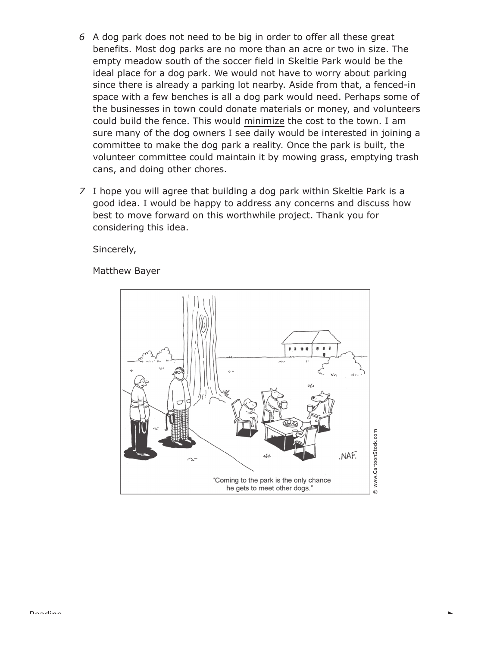- *6* A dog park does not need to be big in order to offer all these great benefits. Most dog parks are no more than an acre or two in size. The empty meadow south of the soccer field in Skeltie Park would be the ideal place for a dog park. We would not have to worry about parking since there is already a parking lot nearby. Aside from that, a fenced-in space with a few benches is all a dog park would need. Perhaps some of the businesses in town could donate materials or money, and volunteers could build the fence. This would minimize the cost to the town. I am sure many of the dog owners I see daily would be interested in joining a committee to make the dog park a reality. Once the park is built, the volunteer committee could maintain it by mowing grass, emptying trash cans, and doing other chores.
- *7* I hope you will agree that building a dog park within Skeltie Park is a good idea. I would be happy to address any concerns and discuss how best to move forward on this worthwhile project. Thank you for considering this idea.

Sincerely,

Matthew Bayer

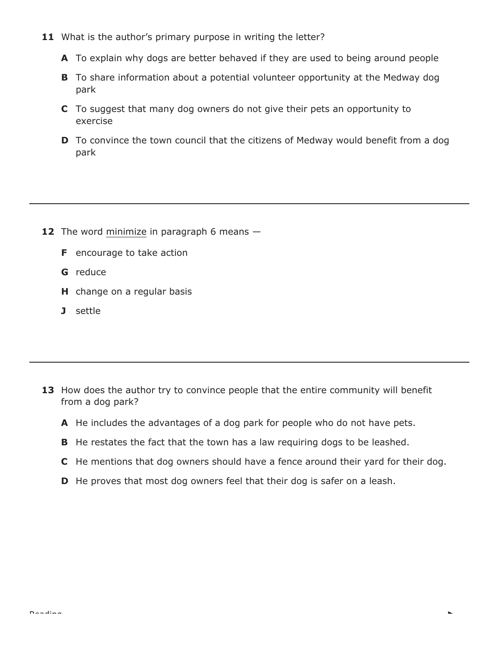- 11 What is the author's primary purpose in writing the letter?
	- **A** To explain why dogs are better behaved if they are used to being around people
	- **B** To share information about a potential volunteer opportunity at the Medway dog park
	- **C** To suggest that many dog owners do not give their pets an opportunity to exercise
	- **D** To convince the town council that the citizens of Medway would benefit from a dog park

- **12** The word minimize in paragraph 6 means -
	- **F** encourage to take action
	- **G** reduce
	- **H** change on a regular basis
	- **J** settle

- 13 How does the author try to convince people that the entire community will benefit from a dog park?
	- **A** He includes the advantages of a dog park for people who do not have pets.
	- **B** He restates the fact that the town has a law requiring dogs to be leashed.
	- **C** He mentions that dog owners should have a fence around their yard for their dog.
	- **D** He proves that most dog owners feel that their dog is safer on a leash.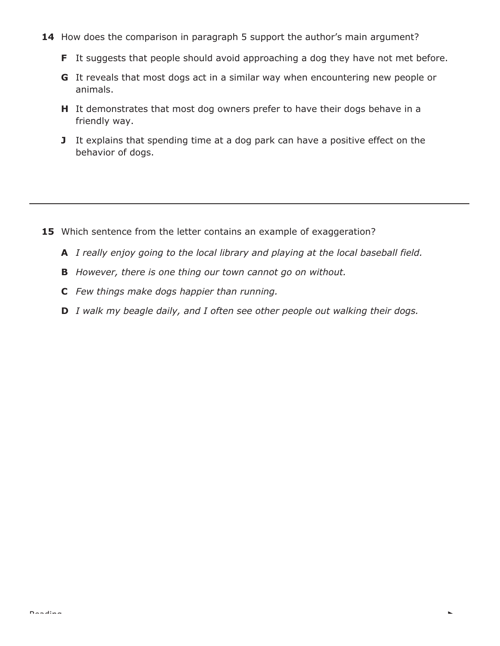- 14 How does the comparison in paragraph 5 support the author's main argument?
	- **F** It suggests that people should avoid approaching a dog they have not met before.
	- **G** It reveals that most dogs act in a similar way when encountering new people or animals.
	- **H** It demonstrates that most dog owners prefer to have their dogs behave in a friendly way.
	- **J** It explains that spending time at a dog park can have a positive effect on the behavior of dogs.

- **15** Which sentence from the letter contains an example of exaggeration?
	- **A** *I really enjoy going to the local library and playing at the local baseball field.*
	- **B** *However, there is one thing our town cannot go on without.*
	- **C** *Few things make dogs happier than running.*
	- **D** *I walk my beagle daily, and I often see other people out walking their dogs.*

L